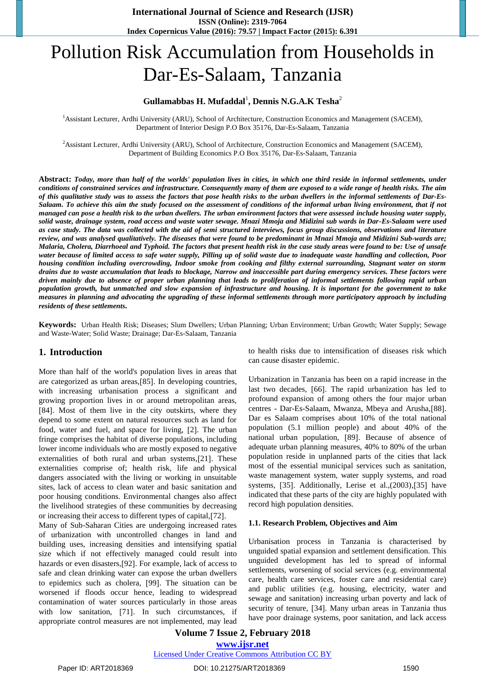# Pollution Risk Accumulation from Households in Dar-Es-Salaam, Tanzania

# **Gullamabbas H. Mufaddal**<sup>1</sup> **, Dennis N.G.A.K Tesha**<sup>2</sup>

<sup>1</sup>Assistant Lecturer, Ardhi University (ARU), School of Architecture, Construction Economics and Management (SACEM), Department of Interior Design P.O Box 35176, Dar-Es-Salaam, Tanzania

<sup>2</sup>Assistant Lecturer, Ardhi University (ARU), School of Architecture, Construction Economics and Management (SACEM), Department of Building Economics P.O Box 35176, Dar-Es-Salaam, Tanzania

**Abstract:** *Today, more than half of the worlds' population lives in cities, in which one third reside in informal settlements, under conditions of constrained services and infrastructure. Consequently many of them are exposed to a wide range of health risks. The aim of this qualitative study was to assess the factors that pose health risks to the urban dwellers in the informal settlements of Dar-Es-Salaam. To achieve this aim the study focused on the assessment of conditions of the informal urban living environment, that if not managed can pose a health risk to the urban dwellers. The urban environment factors that were assessed include housing water supply, solid waste, drainage system, road access and waste water sewage. Mnazi Mmoja and Midizini sub wards in Dar-Es-Salaam were used as case study. The data was collected with the aid of semi structured interviews, focus group discussions, observations and literature review, and was analysed qualitatively. The diseases that were found to be predominant in Mnazi Mmoja and Midizini Sub-wards are; Malaria, Cholera, Diarrhoeal and Typhoid. The factors that present health risk in the case study areas were found to be: Use of unsafe water because of limited access to safe water supply, Pilling up of solid waste due to inadequate waste handling and collection, Poor housing condition including overcrowding, Indoor smoke from cooking and filthy external surrounding, Stagnant water on storm drains due to waste accumulation that leads to blockage, Narrow and inaccessible part during emergency services. These factors were driven mainly due to absence of proper urban planning that leads to proliferation of informal settlements following rapid urban population growth, but unmatched and slow expansion of infrastructure and housing. It is important for the government to take measures in planning and advocating the upgrading of these informal settlements through more participatory approach by including residents of these settlements.*

**Keywords:** Urban Health Risk; Diseases; Slum Dwellers; Urban Planning; Urban Environment; Urban Growth; Water Supply; Sewage and Waste-Water; Solid Waste; Drainage; Dar-Es-Salaam, Tanzania

#### **1. Introduction**

More than half of the world's population lives in areas that are categorized as urban areas, [85]. In developing countries, with increasing urbanisation process a significant and growing proportion lives in or around metropolitan areas, [84]. Most of them live in the city outskirts, where they depend to some extent on natural resources such as land for food, water and fuel, and space for living, [2]. The urban fringe comprises the habitat of diverse populations, including lower income individuals who are mostly exposed to negative externalities of both rural and urban systems, $[21]$ . These externalities comprise of; health risk, life and physical dangers associated with the living or working in unsuitable sites, lack of access to clean water and basic sanitation and poor housing conditions. Environmental changes also affect the livelihood strategies of these communities by decreasing or increasing their access to different types of capital,72.

Many of Sub-Saharan Cities are undergoing increased rates of urbanization with uncontrolled changes in land and building uses, increasing densities and intensifying spatial size which if not effectively managed could result into hazards or even disasters, [92]. For example, lack of access to safe and clean drinking water can expose the urban dwellers to epidemics such as cholera, [99]. The situation can be worsened if floods occur hence, leading to widespread contamination of water sources particularly in those areas with low sanitation, [71]. In such circumstances, if appropriate control measures are not implemented, may lead to health risks due to intensification of diseases risk which can cause disaster epidemic.

Urbanization in Tanzania has been on a rapid increase in the last two decades, [66]. The rapid urbanization has led to profound expansion of among others the four major urban centres - Dar-Es-Salaam, Mwanza, Mbeya and Arusha, [88]. Dar es Salaam comprises about 10% of the total national population (5.1 million people) and about 40% of the national urban population, [89]. Because of absence of adequate urban planning measures, 40% to 80% of the urban population reside in unplanned parts of the cities that lack most of the essential municipal services such as sanitation, waste management system, water supply systems, and road systems, [35]. Additionally, Lerise et al.,(2003),[35] have indicated that these parts of the city are highly populated with record high population densities.

#### **1.1. Research Problem, Objectives and Aim**

Urbanisation process in Tanzania is characterised by unguided spatial expansion and settlement densification. This unguided development has led to spread of informal settlements, worsening of social services (e.g. environmental care, health care services, foster care and residential care) and public utilities (e.g. housing, electricity, water and sewage and sanitation) increasing urban poverty and lack of security of tenure, [34]. Many urban areas in Tanzania thus have poor drainage systems, poor sanitation, and lack access

**Volume 7 Issue 2, February 2018 [www.ijsr.net](../../IJSR%20Website/www.ijsr.net)**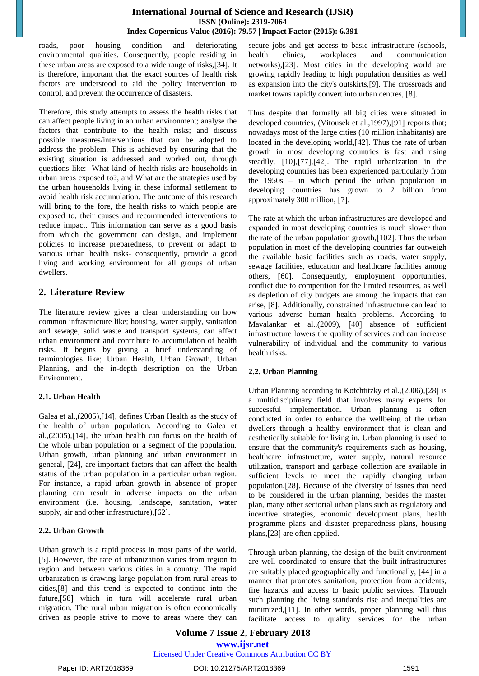roads, poor housing condition and deteriorating environmental qualities. Consequently, people residing in these urban areas are exposed to a wide range of risks, [34]. It is therefore, important that the exact sources of health risk factors are understood to aid the policy intervention to control, and prevent the occurrence of disasters.

Therefore, this study attempts to assess the health risks that can affect people living in an urban environment; analyse the factors that contribute to the health risks; and discuss possible measures/interventions that can be adopted to address the problem. This is achieved by ensuring that the existing situation is addressed and worked out, through questions like:- What kind of health risks are households in urban areas exposed to?, and What are the strategies used by the urban households living in these informal settlement to avoid health risk accumulation. The outcome of this research will bring to the fore, the health risks to which people are exposed to, their causes and recommended interventions to reduce impact. This information can serve as a good basis from which the government can design, and implement policies to increase preparedness, to prevent or adapt to various urban health risks- consequently, provide a good living and working environment for all groups of urban dwellers.

# **2. Literature Review**

The literature review gives a clear understanding on how common infrastructure like; housing, water supply, sanitation and sewage, solid waste and transport systems, can affect urban environment and contribute to accumulation of health risks. It begins by giving a brief understanding of terminologies like; Urban Health, Urban Growth, Urban Planning, and the in-depth description on the Urban Environment.

#### **2.1. Urban Health**

Galea et al.,(2005),[14], defines Urban Health as the study of the health of urban population. According to Galea et al., $(2005)$ , $[14]$ , the urban health can focus on the health of the whole urban population or a segment of the population. Urban growth, urban planning and urban environment in general, [24], are important factors that can affect the health status of the urban population in a particular urban region. For instance, a rapid urban growth in absence of proper planning can result in adverse impacts on the urban environment (i.e. housing, landscape, sanitation, water supply, air and other infrastructure), [62].

# **2.2. Urban Growth**

Urban growth is a rapid process in most parts of the world, [5]. However, the rate of urbanization varies from region to region and between various cities in a country. The rapid urbanization is drawing large population from rural areas to cities,<sup>[8]</sup> and this trend is expected to continue into the future, [58] which in turn will accelerate rural urban migration. The rural urban migration is often economically driven as people strive to move to areas where they can

secure jobs and get access to basic infrastructure (schools, health clinics, workplaces and communication networks),[23]. Most cities in the developing world are growing rapidly leading to high population densities as well as expansion into the city's outskirts,[9]. The crossroads and market towns rapidly convert into urban centres, [8].

Thus despite that formally all big cities were situated in developed countries, (Vitousek et al., 1997), [91] reports that; nowadays most of the large cities (10 million inhabitants) are located in the developing world, [42]. Thus the rate of urban growth in most developing countries is fast and rising steadily,  $[10]$ , $[77]$ , $[42]$ . The rapid urbanization in the developing countries has been experienced particularly from the 1950s – in which period the urban population in developing countries has grown to 2 billion from approximately 300 million, [7].

The rate at which the urban infrastructures are developed and expanded in most developing countries is much slower than the rate of the urban population growth, $[102]$ . Thus the urban population in most of the developing countries far outweigh the available basic facilities such as roads, water supply, sewage facilities, education and healthcare facilities among others, [60]. Consequently, employment opportunities, conflict due to competition for the limited resources, as well as depletion of city budgets are among the impacts that can arise, [8]. Additionally, constrained infrastructure can lead to various adverse human health problems. According to Mavalankar et al.,(2009), [40] absence of sufficient infrastructure lowers the quality of services and can increase vulnerability of individual and the community to various health risks.

# **2.2. Urban Planning**

Urban Planning according to Kotchtitzky et al.,(2006),[28] is a multidisciplinary field that involves many experts for successful implementation. Urban planning is often conducted in order to enhance the wellbeing of the urban dwellers through a healthy environment that is clean and aesthetically suitable for living in. Urban planning is used to ensure that the community's requirements such as housing, healthcare infrastructure, water supply, natural resource utilization, transport and garbage collection are available in sufficient levels to meet the rapidly changing urban population, [28]. Because of the diversity of issues that need to be considered in the urban planning, besides the master plan, many other sectorial urban plans such as regulatory and incentive strategies, economic development plans, health programme plans and disaster preparedness plans, housing plans, [23] are often applied.

Through urban planning, the design of the built environment are well coordinated to ensure that the built infrastructures are suitably placed geographically and functionally, [44] in a manner that promotes sanitation, protection from accidents, fire hazards and access to basic public services. Through such planning the living standards rise and inequalities are minimized,[11]. In other words, proper planning will thus facilitate access to quality services for the urban

# **Volume 7 Issue 2, February 2018 [www.ijsr.net](../../IJSR%20Website/www.ijsr.net)** [Licensed Under Creative Commons Attribution CC BY](http://creativecommons.org/licenses/by/4.0/)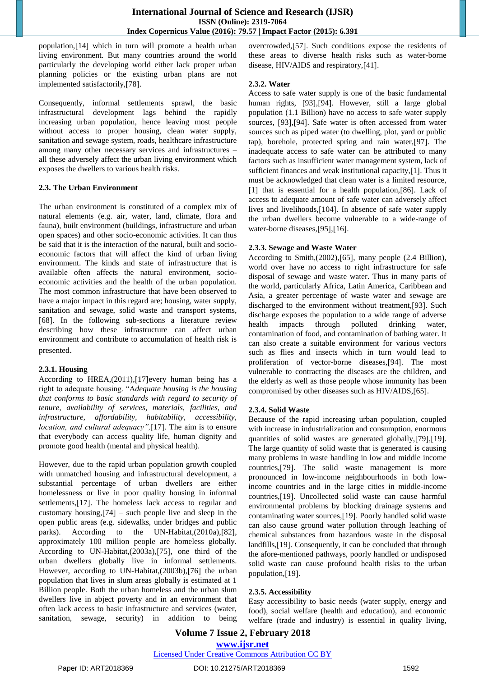population,[14] which in turn will promote a health urban living environment. But many countries around the world particularly the developing world either lack proper urban planning policies or the existing urban plans are not implemented satisfactorily,[78].

Consequently, informal settlements sprawl, the basic infrastructural development lags behind the rapidly increasing urban population, hence leaving most people without access to proper housing, clean water supply, sanitation and sewage system, roads, healthcare infrastructure among many other necessary services and infrastructures – all these adversely affect the urban living environment which exposes the dwellers to various health risks.

#### **2.3. The Urban Environment**

The urban environment is constituted of a complex mix of natural elements (e.g. air, water, land, climate, flora and fauna), built environment (buildings, infrastructure and urban open spaces) and other socio-economic activities. It can thus be said that it is the interaction of the natural, built and socioeconomic factors that will affect the kind of urban living environment. The kinds and state of infrastructure that is available often affects the natural environment, socioeconomic activities and the health of the urban population. The most common infrastructure that have been observed to have a major impact in this regard are; housing, water supply, sanitation and sewage, solid waste and transport systems, [68]. In the following sub-sections a literature review describing how these infrastructure can affect urban environment and contribute to accumulation of health risk is presented.

#### **2.3.1. Housing**

According to HREA, $(2011)$ , $[17]$ every human being has a right to adequate housing. "A*dequate housing is the housing that conforms to basic standards with regard to security of tenure, availability of services, materials, facilities, and infrastructure, affordability, habitability, accessibility, location, and cultural adequacy",* [17]. The aim is to ensure that everybody can access quality life, human dignity and promote good health (mental and physical health).

However, due to the rapid urban population growth coupled with unmatched housing and infrastructural development, a substantial percentage of urban dwellers are either homelessness or live in poor quality housing in informal settlements,[17]. The homeless lack access to regular and customary housing, $[74]$  – such people live and sleep in the open public areas (e.g. sidewalks, under bridges and public parks). According to the UN-Habitat, $(2010a)$ , $[82]$ , approximately 100 million people are homeless globally. According to UN-Habitat,(2003a),[75], one third of the urban dwellers globally live in informal settlements. However, according to UN-Habitat,(2003b),[76] the urban population that lives in slum areas globally is estimated at 1 Billion people. Both the urban homeless and the urban slum dwellers live in abject poverty and in an environment that often lack access to basic infrastructure and services (water, sanitation, sewage, security) in addition to being overcrowded, [57]. Such conditions expose the residents of these areas to diverse health risks such as water-borne disease, HIV/AIDS and respiratory, [41].

#### **2.3.2. Water**

Access to safe water supply is one of the basic fundamental human rights, [93], [94]. However, still a large global population (1.1 Billion) have no access to safe water supply sources, [93], [94]. Safe water is often accessed from water sources such as piped water (to dwelling, plot, yard or public tap), borehole, protected spring and rain water, [97]. The inadequate access to safe water can be attributed to many factors such as insufficient water management system, lack of sufficient finances and weak institutional capacity,[1]. Thus it must be acknowledged that clean water is a limited resource, [1] that is essential for a health population, [86]. Lack of access to adequate amount of safe water can adversely affect lives and livelihoods,[104]. In absence of safe water supply the urban dwellers become vulnerable to a wide-range of water-borne diseases, [95], [16].

#### **2.3.3. Sewage and Waste Water**

According to Smith, $(2002)$ , $[65]$ , many people  $(2.4 \text{ Billion})$ , world over have no access to right infrastructure for safe disposal of sewage and waste water. Thus in many parts of the world, particularly Africa, Latin America, Caribbean and Asia, a greater percentage of waste water and sewage are discharged to the environment without treatment,[93]. Such discharge exposes the population to a wide range of adverse health impacts through polluted drinking water, contamination of food, and contamination of bathing water. It can also create a suitable environment for various vectors such as flies and insects which in turn would lead to proliferation of vector-borne diseases,[94]. The most vulnerable to contracting the diseases are the children, and the elderly as well as those people whose immunity has been compromised by other diseases such as HIV/AIDS,[65].

#### **2.3.4. Solid Waste**

Because of the rapid increasing urban population, coupled with increase in industrialization and consumption, enormous quantities of solid wastes are generated globally, [79], [19]. The large quantity of solid waste that is generated is causing many problems in waste handling in low and middle income countries, [79]. The solid waste management is more pronounced in low-income neighbourhoods in both lowincome countries and in the large cities in middle-income countries,[19]. Uncollected solid waste can cause harmful environmental problems by blocking drainage systems and contaminating water sources,[19]. Poorly handled solid waste can also cause ground water pollution through leaching of chemical substances from hazardous waste in the disposal landfills,[19]. Consequently, it can be concluded that through the afore-mentioned pathways, poorly handled or undisposed solid waste can cause profound health risks to the urban population,[19].

#### **2.3.5. Accessibility**

Easy accessibility to basic needs (water supply, energy and food), social welfare (health and education), and economic welfare (trade and industry) is essential in quality living,

#### **Volume 7 Issue 2, February 2018 [www.ijsr.net](../../IJSR%20Website/www.ijsr.net)**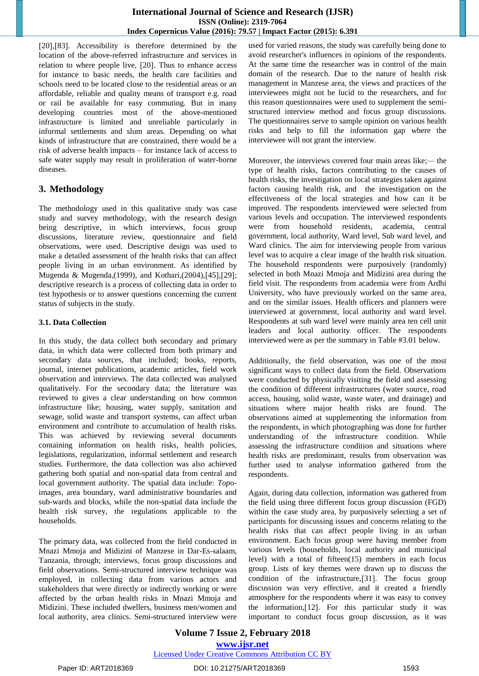[20], [83]. Accessibility is therefore determined by the location of the above-referred infrastructure and services in relation to where people live,  $[20]$ . Thus to enhance access for instance to basic needs, the health care facilities and schools need to be located close to the residential areas or an affordable, reliable and quality means of transport e.g. road or rail be available for easy commuting. But in many developing countries most of the above-mentioned infrastructure is limited and unreliable particularly in informal settlements and slum areas. Depending on what kinds of infrastructure that are constrained, there would be a risk of adverse health impacts – for instance lack of access to safe water supply may result in proliferation of water-borne diseases.

# **3. Methodology**

The methodology used in this qualitative study was case study and survey methodology, with the research design being descriptive, in which interviews, focus group discussions, literature review, questionnaire and field observations, were used. Descriptive design was used to make a detailed assessment of the health risks that can affect people living in an urban environment. As identified by Mugenda & Mugenda,(1999), and Kothari,(2004),[45],[29]; descriptive research is a process of collecting data in order to test hypothesis or to answer questions concerning the current status of subjects in the study.

#### **3.1. Data Collection**

In this study, the data collect both secondary and primary data, in which data were collected from both primary and secondary data sources, that included; books, reports, journal, internet publications, academic articles, field work observation and interviews. The data collected was analysed qualitatively. For the secondary data; the literature was reviewed to gives a clear understanding on how common infrastructure like; housing, water supply, sanitation and sewage, solid waste and transport systems, can affect urban environment and contribute to accumulation of health risks. This was achieved by reviewing several documents containing information on health risks, health policies, legislations, regularization, informal settlement and research studies. Furthermore, the data collection was also achieved gathering both spatial and non-spatial data from central and local government authority. The spatial data include: *Topo*images, area boundary, ward administrative boundaries and sub-wards and blocks, while the non-spatial data include the health risk survey, the regulations applicable to the households.

The primary data, was collected from the field conducted in Mnazi Mmoja and Midizini of Manzese in Dar-Es-salaam, Tanzania, through; interviews, focus group discussions and field observations. Semi-structured interview technique was employed, in collecting data from various actors and stakeholders that were directly or indirectly working or were affected by the urban health risks in Mnazi Mmoja and Midizini. These included dwellers, business men/women and local authority, area clinics. Semi-structured interview were

used for varied reasons, the study was carefully being done to avoid researcher's influences in opinions of the respondents. At the same time the researcher was in control of the main domain of the research. Due to the nature of health risk management in Manzese area, the views and practices of the interviewees might not be lucid to the researchers, and for this reason questionnaires were used to supplement the semistructured interview method and focus group discussions. The questionnaires serve to sample opinion on various health risks and help to fill the information gap where the interviewee will not grant the interview.

Moreover, the interviews covered four main areas like;*—* the type of health risks, factors contributing to the causes of health risks, the investigation on local strategies taken against factors causing health risk, and the investigation on the effectiveness of the local strategies and how can it be improved. The respondents interviewed were selected from various levels and occupation. The interviewed respondents were from household residents, academia, central government, local authority, Ward level, Sub ward level, and Ward clinics. The aim for interviewing people from various level was to acquire a clear image of the health risk situation. The household respondents were purposively (randomly) selected in both Mnazi Mmoja and Midizini area during the field visit. The respondents from academia were from Ardhi University, who have previously worked on the same area, and on the similar issues. Health officers and planners were interviewed at government, local authority and ward level. Respondents at sub ward level were mainly area ten cell unit leaders and local authority officer. The respondents interviewed were as per the summary in Table #3.01 below.

Additionally, the field observation, was one of the most significant ways to collect data from the field. Observations were conducted by physically visiting the field and assessing the condition of different infrastructures (water source, road access, housing, solid waste, waste water, and drainage) and situations where major health risks are found. The observations aimed at supplementing the information from the respondents, in which photographing was done for further understanding of the infrastructure condition. While assessing the infrastructure condition and situations where health risks are predominant, results from observation was further used to analyse information gathered from the respondents.

Again, during data collection, information was gathered from the field using three different focus group discussion (FGD) within the case study area, by purposively selecting a set of participants for discussing issues and concerns relating to the health risks that can affect people living in an urban environment. Each focus group were having member from various levels (households, local authority and municipal level) with a total of fifteen(15) members in each focus group. Lists of key themes were drawn up to discuss the condition of the infrastructure, $[31]$ . The focus group discussion was very effective, and it created a friendly atmosphere for the respondents where it was easy to convey the information,  $[12]$ . For this particular study it was important to conduct focus group discussion, as it was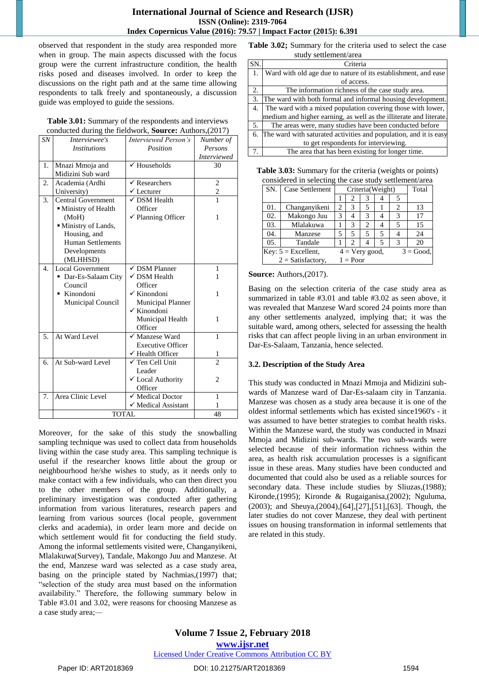observed that respondent in the study area responded more when in group. The main aspects discussed with the focus group were the current infrastructure condition, the health risks posed and diseases involved. In order to keep the discussions on the right path and at the same time allowing respondents to talk freely and spontaneously, a discussion guide was employed to guide the sessions.

| Table 3.01: Summary of the respondents and interviews   |
|---------------------------------------------------------|
| conducted during the fieldwork, Source: Authors, (2017) |

| SN <sub></sub>   | Interviewee's             | Interviewed Person's          | Number of          |
|------------------|---------------------------|-------------------------------|--------------------|
|                  | <i>Institutions</i>       | Position                      | Persons            |
|                  |                           |                               | <b>Interviewed</b> |
| 1.               | Mnazi Mmoja and           | $\checkmark$ Households       | 30                 |
|                  | Midizini Sub ward         |                               |                    |
| 2.               | Academia (Ardhi           | $\checkmark$ Researchers      | $\overline{2}$     |
|                  | University)               | $\checkmark$ Lecturer         | $\overline{c}$     |
| 3.               | <b>Central Government</b> | $\checkmark$ DSM Health       | 1                  |
|                  | Ministry of Health        | Officer                       |                    |
|                  | (MoH)                     | $\checkmark$ Planning Officer | 1                  |
|                  | Ministry of Lands,        |                               |                    |
|                  | Housing, and              |                               |                    |
|                  | <b>Human Settlements</b>  |                               |                    |
|                  | Developments              |                               |                    |
|                  | (MLHHSD)                  |                               |                    |
| $\overline{4}$ . | <b>Local Government</b>   | $\checkmark$ DSM Planner      | 1                  |
|                  | • Dar-Es-Salaam City      | $\checkmark$ DSM Health       | 1                  |
|                  | Council                   | Officer                       |                    |
|                  | ■ Kinondoni               | $\checkmark$ Kinondoni        | 1                  |
|                  | Municipal Council         | <b>Municipal Planner</b>      |                    |
|                  |                           | $\checkmark$ Kinondoni        |                    |
|                  |                           | Municipal Health              | 1                  |
|                  |                           | Officer                       |                    |
| 5.               | At Ward Level             | $\checkmark$ Manzese Ward     | 1                  |
|                  |                           | <b>Executive Officer</b>      |                    |
|                  |                           | $\checkmark$ Health Officer   | 1                  |
| б.               | At Sub-ward Level         | $\checkmark$ Ten Cell Unit    | $\mathfrak{D}$     |
|                  |                           | Leader                        |                    |
|                  |                           | ✔ Local Authority             | $\overline{c}$     |
|                  |                           | Officer                       |                    |
| 7.               | Area Clinic Level         | $\checkmark$ Medical Doctor   | 1                  |
|                  |                           | √ Medical Assistant           | 1                  |
|                  | <b>TOTAL</b>              | 48                            |                    |

Moreover, for the sake of this study the snowballing sampling technique was used to collect data from households living within the case study area. This sampling technique is useful if the researcher knows little about the group or neighbourhood he/she wishes to study, as it needs only to make contact with a few individuals, who can then direct you to the other members of the group. Additionally, a preliminary investigation was conducted after gathering information from various literatures, research papers and learning from various sources (local people, government clerks and academia), in order learn more and decide on which settlement would fit for conducting the field study. Among the informal settlements visited were, Changanyikeni, Mlalakuwa(Survey), Tandale, Makongo Juu and Manzese. At the end, Manzese ward was selected as a case study area, basing on the principle stated by Nachmias,(1997) that; "selection of the study area must based on the information availability." Therefore, the following summary below in Table #3.01 and 3.02, were reasons for choosing Manzese as a case study area;*—*

**Table 3.02;** Summary for the criteria used to select the case study settlement/area

| SN. | Criteria                                                           |
|-----|--------------------------------------------------------------------|
| 1.  | Ward with old age due to nature of its establishment, and ease     |
|     | of access.                                                         |
| 2.  | The information richness of the case study area.                   |
| 3.  | The ward with both formal and informal housing development.        |
| 4.  | The ward with a mixed population covering those with lower,        |
|     | medium and higher earning, as well as the illiterate and literate. |
| 5.  | The areas were, many studies have been conducted before            |
| 6.  | The ward with saturated activities and population, and it is easy  |
|     | to get respondents for interviewing.                               |
|     | The area that has been existing for longer time.                   |

| <b>Table 3.03:</b> Summary for the criteria (weights or points) |
|-----------------------------------------------------------------|
| considered in selecting the case study settlement/area          |

| SN. | Case Settlement       | Criteria(Weight) |                   |   | Total |                             |             |
|-----|-----------------------|------------------|-------------------|---|-------|-----------------------------|-------------|
|     |                       |                  | $\mathbf{2}$      | 3 | 4     |                             |             |
| 01. | Changanyikeni         | $\overline{c}$   | 3                 | 5 |       | $\mathcal{D}_{\mathcal{L}}$ | 13          |
| 02. | Makongo Juu           | 3                | 4                 | 3 | 4     | 3                           | 17          |
| 03. | Mlalakuwa             |                  | 3                 | 2 | 4     | 5                           | 15          |
| 04. | Manzese               | 5                | 5                 | 5 | 5     |                             | 24          |
| 05. | Tandale               |                  | 2                 |   | 5     | 3                           | 20          |
|     | Key: $5 =$ Excellent, |                  | $4 = V$ ery good, |   |       |                             | $3 = Good.$ |
|     | $2 = Satisfactory$ ,  |                  | $1 = Poor$        |   |       |                             |             |

#### **Source:** Authors,(2017).

Basing on the selection criteria of the case study area as summarized in table #3.01 and table #3.02 as seen above, it was revealed that Manzese Ward scored 24 points more than any other settlements analyzed, implying that; it was the suitable ward, among others, selected for assessing the health risks that can affect people living in an urban environment in Dar-Es-Salaam, Tanzania, hence selected.

#### **3.2. Description of the Study Area**

This study was conducted in Mnazi Mmoja and Midizini subwards of Manzese ward of Dar-Es-salaam city in Tanzania. Manzese was chosen as a study area because it is one of the oldest informal settlements which has existed since1960's - it was assumed to have better strategies to combat health risks. Within the Manzese ward, the study was conducted in Mnazi Mmoja and Midizini sub-wards. The two sub-wards were selected because of their information richness within the area, as health risk accumulation processes is a significant issue in these areas. Many studies have been conducted and documented that could also be used as a reliable sources for secondary data. These include studies by Sliuzas,(1988); Kironde,(1995); Kironde & Rugaiganisa,(2002); Nguluma,  $(2003)$ ; and Sheuya, $(2004)$ , $[64]$ , $[27]$ , $[51]$ , $[63]$ . Though, the later studies do not cover Manzese, they deal with pertinent issues on housing transformation in informal settlements that are related in this study.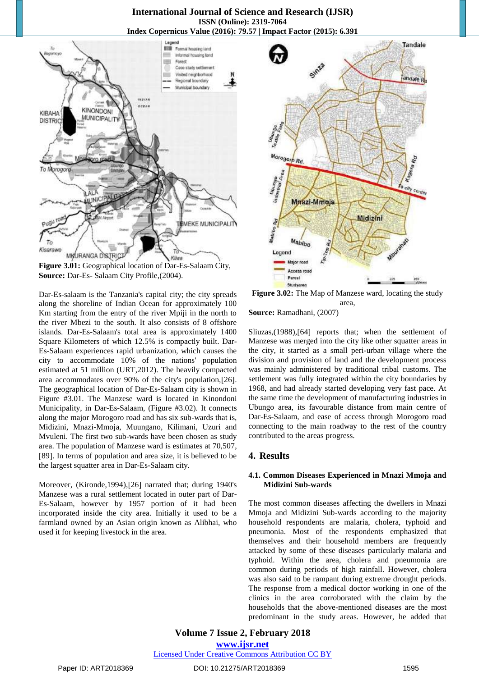

**Figure 3.01:** Geographical location of Dar-Es-Salaam City, **Source:** Dar-Es- Salaam City Profile,(2004).

Dar-Es-salaam is the Tanzania's capital city; the city spreads along the shoreline of Indian Ocean for approximately 100 Km starting from the entry of the river Mpiji in the north to the river Mbezi to the south. It also consists of 8 offshore islands. Dar-Es-Salaam's total area is approximately 1400 Square Kilometers of which 12.5% is compactly built. Dar-Es-Salaam experiences rapid urbanization, which causes the city to accommodate 10% of the nations' population estimated at 51 million (URT,2012). The heavily compacted area accommodates over 90% of the city's population, [26]. The geographical location of Dar-Es-Salaam city is shown in Figure #3.01. The Manzese ward is located in Kinondoni Municipality, in Dar-Es-Salaam, (Figure #3.02). It connects along the major Morogoro road and has six sub-wards that is, Midizini, Mnazi-Mmoja, Muungano, Kilimani, Uzuri and Mvuleni. The first two sub-wards have been chosen as study area. The population of Manzese ward is estimates at 70,507, [89]. In terms of population and area size, it is believed to be the largest squatter area in Dar-Es-Salaam city.

Moreover, (Kironde,1994),[26] narrated that; during 1940's Manzese was a rural settlement located in outer part of Dar-Es-Salaam, however by 1957 portion of it had been incorporated inside the city area. Initially it used to be a farmland owned by an Asian origin known as Alibhai, who used it for keeping livestock in the area.



**Figure 3.02:** The Map of Manzese ward, locating the study area, **Source:** Ramadhani, (2007)

Sliuzas,(1988),[64] reports that; when the settlement of Manzese was merged into the city like other squatter areas in the city, it started as a small peri-urban village where the division and provision of land and the development process was mainly administered by traditional tribal customs. The settlement was fully integrated within the city boundaries by 1968, and had already started developing very fast pace. At the same time the development of manufacturing industries in Ubungo area, its favourable distance from main centre of Dar-Es-Salaam, and ease of access through Morogoro road connecting to the main roadway to the rest of the country contributed to the areas progress.

#### **4. Results**

#### **4.1. Common Diseases Experienced in Mnazi Mmoja and Midizini Sub-wards**

The most common diseases affecting the dwellers in Mnazi Mmoja and Midizini Sub-wards according to the majority household respondents are malaria, cholera, typhoid and pneumonia. Most of the respondents emphasized that themselves and their household members are frequently attacked by some of these diseases particularly malaria and typhoid. Within the area, cholera and pneumonia are common during periods of high rainfall. However, cholera was also said to be rampant during extreme drought periods. The response from a medical doctor working in one of the clinics in the area corroborated with the claim by the households that the above-mentioned diseases are the most predominant in the study areas. However, he added that

# **Volume 7 Issue 2, February 2018 [www.ijsr.net](../../IJSR%20Website/www.ijsr.net)**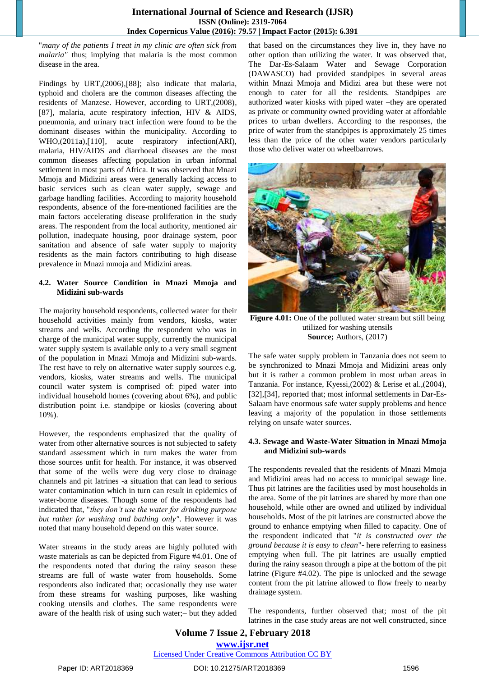"*many of the patients I treat in my clinic are often sick from malaria"* thus; implying that malaria is the most common disease in the area.

Findings by URT, $(2006)$ , $[88]$ ; also indicate that malaria, typhoid and cholera are the common diseases affecting the residents of Manzese. However, according to URT,(2008), [87], malaria, acute respiratory infection, HIV & AIDS, pneumonia, and urinary tract infection were found to be the dominant diseases within the municipality. According to WHO,(2011a),[110], acute respiratory infection(ARI), malaria, HIV/AIDS and diarrhoeal diseases are the most common diseases affecting population in urban informal settlement in most parts of Africa. It was observed that Mnazi Mmoja and Midizini areas were generally lacking access to basic services such as clean water supply, sewage and garbage handling facilities. According to majority household respondents, absence of the fore-mentioned facilities are the main factors accelerating disease proliferation in the study areas. The respondent from the local authority, mentioned air pollution, inadequate housing, poor drainage system, poor sanitation and absence of safe water supply to majority residents as the main factors contributing to high disease prevalence in Mnazi mmoja and Midizini areas.

#### **4.2. Water Source Condition in Mnazi Mmoja and Midizini sub-wards**

The majority household respondents, collected water for their household activities mainly from vendors, kiosks, water streams and wells. According the respondent who was in charge of the municipal water supply, currently the municipal water supply system is available only to a very small segment of the population in Mnazi Mmoja and Midizini sub-wards. The rest have to rely on alternative water supply sources e.g. vendors, kiosks, water streams and wells. The municipal council water system is comprised of: piped water into individual household homes (covering about 6%), and public distribution point i.e. standpipe or kiosks (covering about 10%).

However, the respondents emphasized that the quality of water from other alternative sources is not subjected to safety standard assessment which in turn makes the water from those sources unfit for health. For instance, it was observed that some of the wells were dug very close to drainage channels and pit latrines -a situation that can lead to serious water contamination which in turn can result in epidemics of water-borne diseases. Though some of the respondents had indicated that, "*they don't use the water for drinking purpose but rather for washing and bathing only"*. However it was noted that many household depend on this water source.

Water streams in the study areas are highly polluted with waste materials as can be depicted from Figure #4.01. One of the respondents noted that during the rainy season these streams are full of waste water from households. Some respondents also indicated that; occasionally they use water from these streams for washing purposes, like washing cooking utensils and clothes*.* The same respondents were aware of the health risk of using such water;– but they added

that based on the circumstances they live in, they have no other option than utilizing the water. It was observed that, The Dar-Es-Salaam Water and Sewage Corporation (DAWASCO) had provided standpipes in several areas within Mnazi Mmoja and Midizi area but these were not enough to cater for all the residents. Standpipes are authorized water kiosks with piped water –they are operated as private or community owned providing water at affordable prices to urban dwellers. According to the responses, the price of water from the standpipes is approximately 25 times less than the price of the other water vendors particularly those who deliver water on wheelbarrows.



**Figure 4.01:** One of the polluted water stream but still being utilized for washing utensils **Source;** Authors, (2017)

The safe water supply problem in Tanzania does not seem to be synchronized to Mnazi Mmoja and Midizini areas only but it is rather a common problem in most urban areas in Tanzania. For instance, Kyessi,(2002) & Lerise et al.,(2004), [32], [34], reported that; most informal settlements in Dar-Es-Salaam have enormous safe water supply problems and hence leaving a majority of the population in those settlements relying on unsafe water sources.

#### **4.3. Sewage and Waste-Water Situation in Mnazi Mmoja and Midizini sub-wards**

The respondents revealed that the residents of Mnazi Mmoja and Midizini areas had no access to municipal sewage line. Thus pit latrines are the facilities used by most households in the area. Some of the pit latrines are shared by more than one household, while other are owned and utilized by individual households. Most of the pit latrines are constructed above the ground to enhance emptying when filled to capacity. One of the respondent indicated that "*it is constructed over the ground because it is easy to clean*"- here referring to easiness emptying when full. The pit latrines are usually emptied during the rainy season through a pipe at the bottom of the pit latrine (Figure #4.02). The pipe is unlocked and the sewage content from the pit latrine allowed to flow freely to nearby drainage system.

The respondents, further observed that; most of the pit latrines in the case study areas are not well constructed, since

# **Volume 7 Issue 2, February 2018 [www.ijsr.net](../../IJSR%20Website/www.ijsr.net)**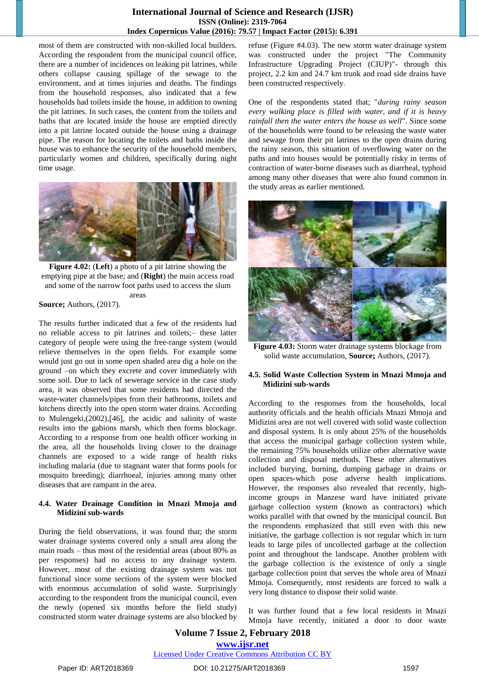most of them are constructed with non-skilled local builders. According the respondent from the municipal council office, there are a number of incidences on leaking pit latrines, while others collapse causing spillage of the sewage to the environment, and at times injuries and deaths. The findings from the household responses, also indicated that a few households had toilets inside the house, in addition to owning the pit latrines. In such cases, the content from the toilets and baths that are located inside the house are emptied directly into a pit latrine located outside the house using a drainage pipe. The reason for locating the toilets and baths inside the house was to enhance the security of the household members, particularly women and children, specifically during night time usage.



**Figure 4.02:** (**Left**) a photo of a pit latrine showing the emptying pipe at the base; and (**Right**) the main access road and some of the narrow foot paths used to access the slum areas

# **Source;** Authors, (2017).

The results further indicated that a few of the residents had no reliable access to pit latrines and toilets;– these latter category of people were using the free-range system (would relieve themselves in the open fields. For example some would just go out in some open shaded area dig a hole on the ground –on which they excrete and cover immediately with some soil. Due to lack of sewerage service in the case study area, it was observed that some residents had directed the waste-water channels/pipes from their bathrooms, toilets and kitchens directly into the open storm water drains. According to Mulengeki, $(2002)$ , $[46]$ , the acidic and salinity of waste results into the gabions marsh, which then forms blockage. According to a response from one health officer working in the area, all the households living closer to the drainage channels are exposed to a wide range of health risks including malaria (due to stagnant water that forms pools for mosquito breeding); diarrhoeal, injuries among many other diseases that are rampant in the area.

#### **4.4. Water Drainage Condition in Mnazi Mmoja and Midizini sub-wards**

During the field observations, it was found that; the storm water drainage systems covered only a small area along the main roads – thus most of the residential areas (about 80% as per responses) had no access to any drainage system. However, most of the existing drainage system was not functional since some sections of the system were blocked with enormous accumulation of solid waste. Surprisingly according to the respondent from the municipal council, even the newly (opened six months before the field study) constructed storm water drainage systems are also blocked by refuse (Figure #4.03). The new storm water drainage system was constructed under the project "The Community Infrastructure Upgrading Project (CIUP)"- through this project, 2.2 km and 24.7 km trunk and road side drains have been constructed respectively.

One of the respondents stated that; "*during rainy season every walking place is filled with water, and if it is heavy rainfall then the water enters the house as well*". Since some of the households were found to be releasing the waste water and sewage from their pit latrines to the open drains during the rainy season, this situation of overflowing water on the paths and into houses would be potentially risky in terms of contraction of water-borne diseases such as diarrheal, typhoid among many other diseases that were also found common in the study areas as earlier mentioned.



**Figure 4.03:** Storm water drainage systems blockage from solid waste accumulation, **Source;** Authors, (2017).

#### **4.5. Solid Waste Collection System in Mnazi Mmoja and Midizini sub-wards**

According to the responses from the households, local authority officials and the health officials Mnazi Mmoja and Midizini area are not well covered with solid waste collection and disposal system. It is only about 25% of the households that access the municipal garbage collection system while, the remaining 75% households utilize other alternative waste collection and disposal methods. These other alternatives included burying, burning, dumping garbage in drains or open spaces-which pose adverse health implications. However, the responses also revealed that recently, highincome groups in Manzese ward have initiated private garbage collection system (known as contractors) which works parallel with that owned by the municipal council. But the respondents emphasized that still even with this new initiative, the garbage collection is not regular which in turn leads to large piles of uncollected garbage at the collection point and throughout the landscape. Another problem with the garbage collection is the existence of only a single garbage collection point that serves the whole area of Mnazi Mmoja. Consequently, most residents are forced to walk a very long distance to dispose their solid waste.

It was further found that a few local residents in Mnazi Mmoja have recently, initiated a door to door waste

# **Volume 7 Issue 2, February 2018 [www.ijsr.net](../../IJSR%20Website/www.ijsr.net)**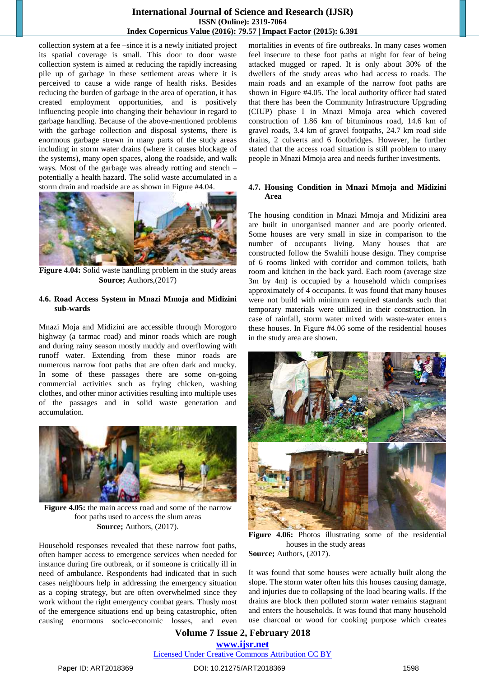collection system at a fee –since it is a newly initiated project its spatial coverage is small. This door to door waste collection system is aimed at reducing the rapidly increasing pile up of garbage in these settlement areas where it is perceived to cause a wide range of health risks. Besides reducing the burden of garbage in the area of operation, it has created employment opportunities, and is positively influencing people into changing their behaviour in regard to garbage handling. Because of the above-mentioned problems with the garbage collection and disposal systems, there is enormous garbage strewn in many parts of the study areas including in storm water drains (where it causes blockage of the systems), many open spaces, along the roadside, and walk ways. Most of the garbage was already rotting and stench – potentially a health hazard. The solid waste accumulated in a storm drain and roadside are as shown in Figure #4.04.



**Figure 4.04:** Solid waste handling problem in the study areas **Source;** Authors,(2017)

#### **4.6. Road Access System in Mnazi Mmoja and Midizini sub-wards**

Mnazi Moja and Midizini are accessible through Morogoro highway (a tarmac road) and minor roads which are rough and during rainy season mostly muddy and overflowing with runoff water. Extending from these minor roads are numerous narrow foot paths that are often dark and mucky. In some of these passages there are some on-going commercial activities such as frying chicken, washing clothes, and other minor activities resulting into multiple uses of the passages and in solid waste generation and accumulation.



**Figure 4.05:** the main access road and some of the narrow foot paths used to access the slum areas **Source;** Authors, (2017).

Household responses revealed that these narrow foot paths, often hamper access to emergence services when needed for instance during fire outbreak, or if someone is critically ill in need of ambulance. Respondents had indicated that in such cases neighbours help in addressing the emergency situation as a coping strategy, but are often overwhelmed since they work without the right emergency combat gears. Thusly most of the emergence situations end up being catastrophic, often causing enormous socio-economic losses, and even

mortalities in events of fire outbreaks. In many cases women feel insecure to these foot paths at night for fear of being attacked mugged or raped. It is only about 30% of the dwellers of the study areas who had access to roads. The main roads and an example of the narrow foot paths are shown in Figure #4.05. The local authority officer had stated that there has been the Community Infrastructure Upgrading (CIUP) phase I in Mnazi Mmoja area which covered construction of 1.86 km of bituminous road, 14.6 km of gravel roads, 3.4 km of gravel footpaths, 24.7 km road side drains, 2 culverts and 6 footbridges. However, he further stated that the access road situation is still problem to many people in Mnazi Mmoja area and needs further investments.

#### **4.7. Housing Condition in Mnazi Mmoja and Midizini Area**

The housing condition in Mnazi Mmoja and Midizini area are built in unorganised manner and are poorly oriented. Some houses are very small in size in comparison to the number of occupants living. Many houses that are constructed follow the Swahili house design. They comprise of 6 rooms linked with corridor and common toilets, bath room and kitchen in the back yard. Each room (average size 3m by 4m) is occupied by a household which comprises approximately of 4 occupants. It was found that many houses were not build with minimum required standards such that temporary materials were utilized in their construction. In case of rainfall, storm water mixed with waste-water enters these houses. In Figure #4.06 some of the residential houses in the study area are shown.



**Figure 4.06:** Photos illustrating some of the residential houses in the study areas **Source;** Authors, (2017).

It was found that some houses were actually built along the slope. The storm water often hits this houses causing damage, and injuries due to collapsing of the load bearing walls. If the drains are block then polluted storm water remains stagnant and enters the households. It was found that many household use charcoal or wood for cooking purpose which creates

# **Volume 7 Issue 2, February 2018 [www.ijsr.net](../../IJSR%20Website/www.ijsr.net)**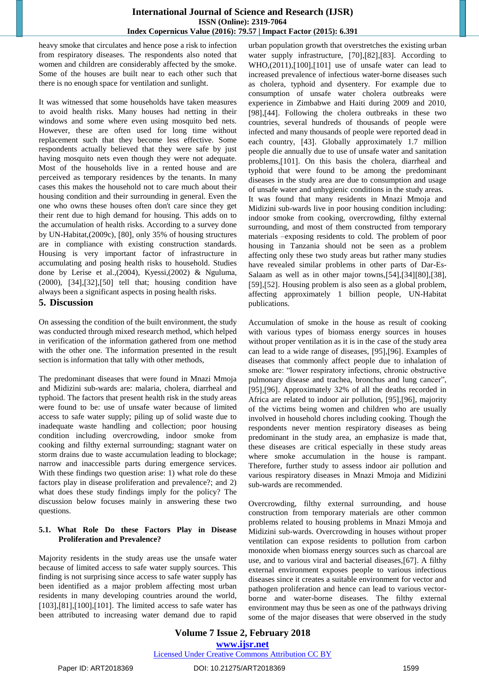heavy smoke that circulates and hence pose a risk to infection from respiratory diseases. The respondents also noted that women and children are considerably affected by the smoke. Some of the houses are built near to each other such that there is no enough space for ventilation and sunlight.

It was witnessed that some households have taken measures to avoid health risks. Many houses had netting in their windows and some where even using mosquito bed nets. However, these are often used for long time without replacement such that they become less effective. Some respondents actually believed that they were safe by just having mosquito nets even though they were not adequate. Most of the households live in a rented house and are perceived as temporary residences by the tenants. In many cases this makes the household not to care much about their housing condition and their surrounding in general. Even the one who owns these houses often don't care since they get their rent due to high demand for housing. This adds on to the accumulation of health risks. According to a survey done by UN-Habitat, $(2009c)$ , [80], only 35% of housing structures are in compliance with existing construction standards. Housing is very important factor of infrastructure in accumulating and posing health risks to household. Studies done by Lerise et al.,(2004), Kyessi,(2002) & Nguluma, (2000), [34], [32], [50] tell that; housing condition have always been a significant aspects in posing health risks.

#### **5. Discussion**

On assessing the condition of the built environment, the study was conducted through mixed research method, which helped in verification of the information gathered from one method with the other one. The information presented in the result section is information that tally with other methods,

The predominant diseases that were found in Mnazi Mmoja and Midizini sub-wards are: malaria, cholera, diarrheal and typhoid. The factors that present health risk in the study areas were found to be: use of unsafe water because of limited access to safe water supply; piling up of solid waste due to inadequate waste handling and collection; poor housing condition including overcrowding, indoor smoke from cooking and filthy external surrounding; stagnant water on storm drains due to waste accumulation leading to blockage; narrow and inaccessible parts during emergence services. With these findings two question arise: 1) what role do these factors play in disease proliferation and prevalence?; and 2) what does these study findings imply for the policy? The discussion below focuses mainly in answering these two questions.

#### **5.1. What Role Do these Factors Play in Disease Proliferation and Prevalence?**

Majority residents in the study areas use the unsafe water because of limited access to safe water supply sources. This finding is not surprising since access to safe water supply has been identified as a major problem affecting most urban residents in many developing countries around the world,  $[103],[81],[100],[101]$ . The limited access to safe water has been attributed to increasing water demand due to rapid

urban population growth that overstretches the existing urban water supply infrastructure, [70], [82], [83]. According to  $WHO$ , $(2011)$ , $[100]$ , $[101]$  use of unsafe water can lead to increased prevalence of infectious water-borne diseases such as cholera, typhoid and dysentery. For example due to consumption of unsafe water cholera outbreaks were experience in Zimbabwe and Haiti during 2009 and 2010, [98], [44]. Following the cholera outbreaks in these two countries, several hundreds of thousands of people were infected and many thousands of people were reported dead in each country, [43]. Globally approximately 1.7 million people die annually due to use of unsafe water and sanitation problems,[101]. On this basis the cholera, diarrheal and typhoid that were found to be among the predominant diseases in the study area are due to consumption and usage of unsafe water and unhygienic conditions in the study areas. It was found that many residents in Mnazi Mmoja and

Midizini sub-wards live in poor housing condition including: indoor smoke from cooking, overcrowding, filthy external surrounding, and most of them constructed from temporary materials –exposing residents to cold. The problem of poor housing in Tanzania should not be seen as a problem affecting only these two study areas but rather many studies have revealed similar problems in other parts of Dar-Es-Salaam as well as in other major towns, $[54]$ , $[34]$  $[80]$ , $[38]$ , [59], [52]. Housing problem is also seen as a global problem, affecting approximately 1 billion people, UN-Habitat publications.

Accumulation of smoke in the house as result of cooking with various types of biomass energy sources in houses without proper ventilation as it is in the case of the study area can lead to a wide range of diseases, [95], [96]. Examples of diseases that commonly affect people due to inhalation of smoke are: "lower respiratory infections, chronic obstructive pulmonary disease and trachea, bronchus and lung cancer", [95], [96]. Approximately 32% of all the deaths recorded in Africa are related to indoor air pollution, [95],[96], majority of the victims being women and children who are usually involved in household chores including cooking. Though the respondents never mention respiratory diseases as being predominant in the study area, an emphasize is made that, these diseases are critical especially in these study areas where smoke accumulation in the house is rampant. Therefore, further study to assess indoor air pollution and various respiratory diseases in Mnazi Mmoja and Midizini sub-wards are recommended.

Overcrowding, filthy external surrounding, and house construction from temporary materials are other common problems related to housing problems in Mnazi Mmoja and Midizini sub-wards. Overcrowding in houses without proper ventilation can expose residents to pollution from carbon monoxide when biomass energy sources such as charcoal are use, and to various viral and bacterial diseases, [67]. A filthy external environment exposes people to various infectious diseases since it creates a suitable environment for vector and pathogen proliferation and hence can lead to various vectorborne and water-borne diseases. The filthy external environment may thus be seen as one of the pathways driving some of the major diseases that were observed in the study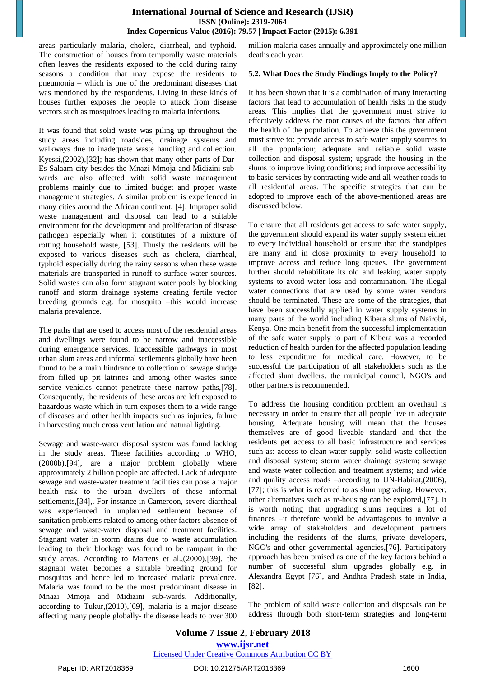areas particularly malaria, cholera, diarrheal, and typhoid. The construction of houses from temporally waste materials often leaves the residents exposed to the cold during rainy seasons a condition that may expose the residents to pneumonia – which is one of the predominant diseases that was mentioned by the respondents. Living in these kinds of houses further exposes the people to attack from disease vectors such as mosquitoes leading to malaria infections.

It was found that solid waste was piling up throughout the study areas including roadsides, drainage systems and walkways due to inadequate waste handling and collection. Kyessi, $(2002)$ , $[32]$ ; has shown that many other parts of Dar-Es-Salaam city besides the Mnazi Mmoja and Midizini subwards are also affected with solid waste management problems mainly due to limited budget and proper waste management strategies. A similar problem is experienced in many cities around the African continent, [4]. Improper solid waste management and disposal can lead to a suitable environment for the development and proliferation of disease pathogen especially when it constitutes of a mixture of rotting household waste, [53]. Thusly the residents will be exposed to various diseases such as cholera, diarrheal, typhoid especially during the rainy seasons when these waste materials are transported in runoff to surface water sources. Solid wastes can also form stagnant water pools by blocking runoff and storm drainage systems creating fertile vector breeding grounds e.g. for mosquito –this would increase malaria prevalence.

The paths that are used to access most of the residential areas and dwellings were found to be narrow and inaccessible during emergence services. Inaccessible pathways in most urban slum areas and informal settlements globally have been found to be a main hindrance to collection of sewage sludge from filled up pit latrines and among other wastes since service vehicles cannot penetrate these narrow paths,[78]. Consequently, the residents of these areas are left exposed to hazardous waste which in turn exposes them to a wide range of diseases and other health impacts such as injuries, failure in harvesting much cross ventilation and natural lighting.

Sewage and waste-water disposal system was found lacking in the study areas. These facilities according to WHO, (2000b), [94], are a major problem globally where approximately 2 billion people are affected. Lack of adequate sewage and waste-water treatment facilities can pose a major health risk to the urban dwellers of these informal settlements, [34],. For instance in Cameroon, severe diarrheal was experienced in unplanned settlement because of sanitation problems related to among other factors absence of sewage and waste-water disposal and treatment facilities. Stagnant water in storm drains due to waste accumulation leading to their blockage was found to be rampant in the study areas. According to Martens et al.,(2000), [39], the stagnant water becomes a suitable breeding ground for mosquitos and hence led to increased malaria prevalence. Malaria was found to be the most predominant disease in Mnazi Mmoja and Midizini sub-wards. Additionally, according to Tukur, $(2010)$ , $[69]$ , malaria is a major disease affecting many people globally- the disease leads to over 300

million malaria cases annually and approximately one million deaths each year.

#### **5.2. What Does the Study Findings Imply to the Policy?**

It has been shown that it is a combination of many interacting factors that lead to accumulation of health risks in the study areas. This implies that the government must strive to effectively address the root causes of the factors that affect the health of the population. To achieve this the government must strive to: provide access to safe water supply sources to all the population; adequate and reliable solid waste collection and disposal system; upgrade the housing in the slums to improve living conditions; and improve accessibility to basic services by contracting wide and all-weather roads to all residential areas. The specific strategies that can be adopted to improve each of the above-mentioned areas are discussed below.

To ensure that all residents get access to safe water supply, the government should expand its water supply system either to every individual household or ensure that the standpipes are many and in close proximity to every household to improve access and reduce long queues. The government further should rehabilitate its old and leaking water supply systems to avoid water loss and contamination. The illegal water connections that are used by some water vendors should be terminated. These are some of the strategies, that have been successfully applied in water supply systems in many parts of the world including Kibera slums of Nairobi, Kenya. One main benefit from the successful implementation of the safe water supply to part of Kibera was a recorded reduction of health burden for the affected population leading to less expenditure for medical care. However, to be successful the participation of all stakeholders such as the affected slum dwellers, the municipal council, NGO's and other partners is recommended.

To address the housing condition problem an overhaul is necessary in order to ensure that all people live in adequate housing. Adequate housing will mean that the houses themselves are of good liveable standard and that the residents get access to all basic infrastructure and services such as: access to clean water supply; solid waste collection and disposal system; storm water drainage system; sewage and waste water collection and treatment systems; and wide and quality access roads –according to UN-Habitat,(2006), [77]; this is what is referred to as slum upgrading. However, other alternatives such as re-housing can be explored, [77]. It is worth noting that upgrading slums requires a lot of finances –it therefore would be advantageous to involve a wide array of stakeholders and development partners including the residents of the slums, private developers, NGO's and other governmental agencies, [76]. Participatory approach has been praised as one of the key factors behind a number of successful slum upgrades globally e.g. in Alexandra Egypt 76, and Andhra Pradesh state in India,  $[82]$ .

The problem of solid waste collection and disposals can be address through both short-term strategies and long-term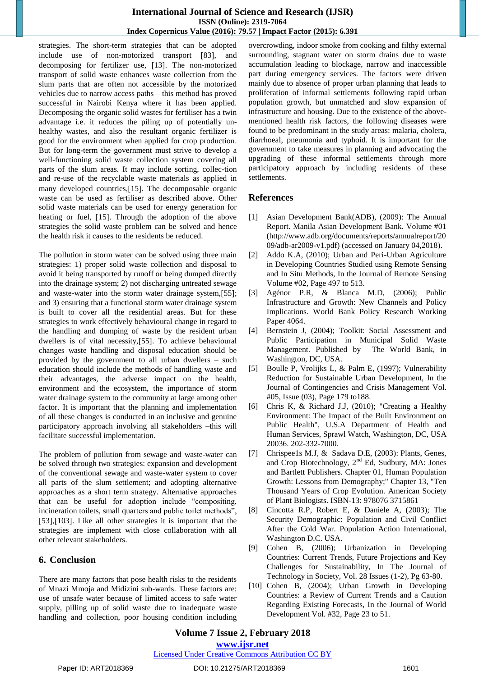strategies. The short-term strategies that can be adopted include use of non-motorized transport [83], and decomposing for fertilizer use, [13]. The non-motorized transport of solid waste enhances waste collection from the slum parts that are often not accessible by the motorized vehicles due to narrow access paths – this method has proved successful in Nairobi Kenya where it has been applied. Decomposing the organic solid wastes for fertiliser has a twin advantage i.e. it reduces the piling up of potentially unhealthy wastes, and also the resultant organic fertilizer is good for the environment when applied for crop production. But for long-term the government must strive to develop a well-functioning solid waste collection system covering all parts of the slum areas. It may include sorting, collec-tion and re-use of the recyclable waste materials as applied in many developed countries, [15]. The decomposable organic waste can be used as fertiliser as described above. Other solid waste materials can be used for energy generation for heating or fuel,  $[15]$ . Through the adoption of the above strategies the solid waste problem can be solved and hence the health risk it causes to the residents be reduced.

The pollution in storm water can be solved using three main strategies: 1) proper solid waste collection and disposal to avoid it being transported by runoff or being dumped directly into the drainage system; 2) not discharging untreated sewage and waste-water into the storm water drainage system,[55]; and 3) ensuring that a functional storm water drainage system is built to cover all the residential areas. But for these strategies to work effectively behavioural change in regard to the handling and dumping of waste by the resident urban dwellers is of vital necessity, [55]. To achieve behavioural changes waste handling and disposal education should be provided by the government to all urban dwellers – such education should include the methods of handling waste and their advantages, the adverse impact on the health, environment and the ecosystem, the importance of storm water drainage system to the community at large among other factor. It is important that the planning and implementation of all these changes is conducted in an inclusive and genuine participatory approach involving all stakeholders –this will facilitate successful implementation.

The problem of pollution from sewage and waste-water can be solved through two strategies: expansion and development of the conventional sewage and waste-water system to cover all parts of the slum settlement; and adopting alternative approaches as a short term strategy. Alternative approaches that can be useful for adoption include "compositing, incineration toilets, small quarters and public toilet methods", [53],[103]. Like all other strategies it is important that the strategies are implement with close collaboration with all other relevant stakeholders.

# **6. Conclusion**

There are many factors that pose health risks to the residents of Mnazi Mmoja and Midizini sub-wards. These factors are: use of unsafe water because of limited access to safe water supply, pilling up of solid waste due to inadequate waste handling and collection, poor housing condition including

overcrowding, indoor smoke from cooking and filthy external surrounding, stagnant water on storm drains due to waste accumulation leading to blockage, narrow and inaccessible part during emergency services. The factors were driven mainly due to absence of proper urban planning that leads to proliferation of informal settlements following rapid urban population growth, but unmatched and slow expansion of infrastructure and housing. Due to the existence of the abovementioned health risk factors, the following diseases were found to be predominant in the study areas: malaria, cholera, diarrhoeal, pneumonia and typhoid. It is important for the government to take measures in planning and advocating the upgrading of these informal settlements through more participatory approach by including residents of these settlements.

# **References**

- [1] Asian Development Bank(ADB), (2009): The Annual Report. Manila Asian Development Bank. Volume #01 [\(http://www.adb.org/documents/reports/annualreport/20](http://www.adb.org/documents/reports/annual_report/2009/adb-ar2009-v1.pdf) [09/adb-ar2009-v1.pdf\) \(](http://www.adb.org/documents/reports/annual_report/2009/adb-ar2009-v1.pdf)accessed on January 04,2018).
- [2] Addo K.A, (2010); Urban and Peri-Urban Agriculture in Developing Countries Studied using Remote Sensing and In Situ Methods, In the Journal of Remote Sensing Volume #02, Page 497 to 513.
- [3] Agénor P.R, & Blanca M.D, (2006); Public Infrastructure and Growth: New Channels and Policy Implications. World Bank Policy Research Working Paper 4064.
- [4] Bernstein J, (2004); Toolkit: Social Assessment and Public Participation in Municipal Solid Waste Management. Published by The World Bank, in Washington, DC, USA.
- [5] Boulle P, Vrolijks L, & Palm E, (1997); Vulnerability Reduction for Sustainable Urban Development, In the Journal of Contingencies and Crisis Management Vol. #05, Issue (03), Page 179 to188.
- [6] Chris K, & Richard J.J, (2010); "Creating a Healthy Environment: The Impact of the Built Environment on Public Health", U.S.A Department of Health and Human Services, Sprawl Watch, Washington, DC, USA 20036. 202-332-7000.
- [7] Chrispee1s M.J, & Sadava D.E, (2003): Plants, Genes, and Crop Biotechnology, 2nd Ed, Sudbury, MA: Jones and Bartlett Publishers. Chapter 01, Human Population Growth: Lessons from Demography;" Chapter 13, "Ten Thousand Years of Crop Evolution. American Society of Plant Biologists. ISBN-13: 978076 3715861
- [8] Cincotta R.P, Robert E, & Daniele A, (2003); The Security Demographic: Population and Civil Conflict After the Cold War. Population Action International, Washington D.C. USA.
- [9] Cohen B, (2006); Urbanization in Developing Countries: Current Trends, Future Projections and Key Challenges for Sustainability, In The Journal of Technology in Society, Vol. 28 Issues (1-2), Pg 63-80.
- [10] Cohen B, (2004); Urban Growth in Developing Countries: a Review of Current Trends and a Caution Regarding Existing Forecasts, In the Journal of World Development Vol. #32, Page 23 to 51.

# **Volume 7 Issue 2, February 2018**

**[www.ijsr.net](../../IJSR%20Website/www.ijsr.net)**

[Licensed Under Creative Commons Attribution CC BY](http://creativecommons.org/licenses/by/4.0/)

#### Paper ID: ART2018369 DOI: 10.21275/ART2018369 1601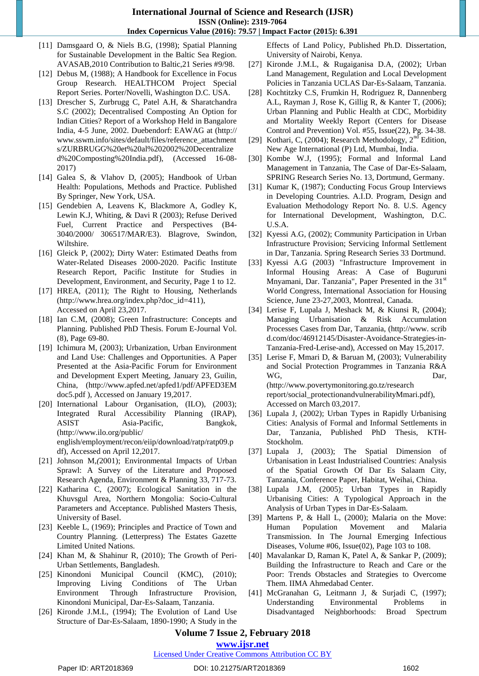- [11] Damsgaard O, & Niels B.G, (1998); Spatial Planning for Sustainable Development in the Baltic Sea Region. AVASAB,2010 Contribution to Baltic,21 Series #9/98.
- [12] Debus M, (1988); A Handbook for Excellence in Focus Group Research. HEALTHCOM Project Special Report Series. Porter/Novelli, Washington D.C. USA.
- [13] Drescher S, Zurbrugg C, Patel A.H, & Sharatchandra S.C (2002); [Decentralised Composting An](http://www.sswm.info/sites/default/files/reference_attachments/ZURBRUGG%20et%20al%202002%20Decentralized%20Composting%20India.pdf) [Option for](http://www.sswm.info/sites/default/files/reference_attachments/ZURBRUGG%20et%20al%202002%20Decentralized%20Composting%20India.pdf)  [Indian Cities? Report of a Workshop Held in Bangalore](http://www.sswm.info/sites/default/files/reference_attachments/ZURBRUGG%20et%20al%202002%20Decentralized%20Composting%20India.pdf)  [India, 4-5 June,](http://www.sswm.info/sites/default/files/reference_attachments/ZURBRUGG%20et%20al%202002%20Decentralized%20Composting%20India.pdf) [2002. D](http://www.sswm.info/sites/default/files/reference_attachments/ZURBRUGG%20et%20al%202002%20Decentralized%20Composting%20India.pdf)uebendorf: EAWAG at [\(http://](http://www.sswm.info/sites/default/files/reference_attachments/ZURBRUGG%20et%20al%202002%20Decentralized%20Composting%20India.pdf) [www.sswm.info/sites/default/files/reference\\_attachment](http://www.sswm.info/sites/default/files/reference_attachments/ZURBRUGG%20et%20al%202002%20Decentralized%20Composting%20India.pdf) [s/ZURBRUGG%20et%20al%202002%20Decentralize](http://www.sswm.info/sites/default/files/reference_attachments/ZURBRUGG%20et%20al%202002%20Decentralized%20Composting%20India.pdf) d%20Composting%20India.pdf), (Accessed 16-08- 2017)
- [14] Galea S, & Vlahov D, (2005); Handbook of Urban Health: Populations, Methods and Practice. Published By Springer, New York, USA.
- [15] Gendebien A, Leavens K, Blackmore A, Godley K, Lewin K.J, Whiting, & Davi R (2003); Refuse Derived Fuel, Current Practice and Perspectives (B4- 3040/2000/ 306517/MAR/E3). Blagrove, Swindon, Wiltshire.
- [16] Gleick P, (2002); Dirty Water: Estimated Deaths from Water-Related Diseases 2000-2020. Pacific Institute Research Report, Pacific Institute for Studies in Development, Environment, and Security, Page 1 to 12.
- [17] HREA, (2011); The Right to Housing, Netherlands [\(http://www.hrea.org/index.php?doc\\_id=411\)](http://www.hrea.org/index.php?doc_id=411), Accessed on April 23,2017.
- [18] Ian C.M, (2008); Green Infrastructure: Concepts and Planning. Published PhD Thesis. Forum E-Journal Vol. (8), Page 69-80.
- [19] Ichimura M, (2003); Urbanization, Urban Environment and Land Use: Challenges and Opportunities. A Paper Presented at the Asia-Pacific Forum for Environment and Development Expert Meeting, January 23, Guilin, China, [\(http://www.apfed.net/apfed1/pdf/APFED3EM](http://www.apfed.net/apfed1/pdf/APFED3_EM_doc5.pdf)  [doc5.pdf \)](http://www.apfed.net/apfed1/pdf/APFED3_EM_doc5.pdf), Accessed on January 19,2017.
- [20] International Labour Organisation, (ILO), (2003); Integrated Rural Accessibility Planning (IRAP), ASIST Asia-Pacific, Bangkok, [\(http://www.ilo.org/public/](http://www.ilo.org/public/english/employment/recon/eiip/download/ratp/ratp09.pdf)  [english/employment/recon/eiip/download/ratp/ratp09.p](http://www.ilo.org/public/english/employment/recon/eiip/download/ratp/ratp09.pdf) [df\)](http://www.ilo.org/public/english/employment/recon/eiip/download/ratp/ratp09.pdf), Accessed on April 12,2017.
- [21] Johnson M,*(*2001); Environmental Impacts of Urban Sprawl: A Survey of the Literature and Proposed Research Agenda*,* Environment & Planning 33, 717-73.
- [22] Katharina C, (2007); Ecological Sanitation in the Khuvsgul Area, Northern Mongolia: Socio-Cultural Parameters and Acceptance. Published Masters Thesis, University of Basel.
- [23] Keeble L, (1969); Principles and Practice of Town and Country Planning. (Letterpress) The Estates Gazette Limited United Nations.
- [24] Khan M, & Shahinur R, (2010); The Growth of Peri-Urban Settlements, Bangladesh.
- [25] Kinondoni Municipal Council (KMC), (2010); Improving Living Conditions of The Urban Environment Through Infrastructure Provision, Kinondoni Municipal, Dar-Es-Salaam, Tanzania.
- [26] Kironde J.M.L, (1994); The Evolution of Land Use Structure of Dar-Es-Salaam, 1890-1990; A Study in the

Effects of Land Policy, Published Ph.D. Dissertation, University of Nairobi, Kenya.

- [27] Kironde J.M.L, & Rugaiganisa D.A, (2002); Urban Land Management, Regulation and Local Development Policies in Tanzania UCLAS Dar-Es-Salaam, Tanzania.
- [28] Kochtitzky C.S, Frumkin H, Rodriguez R, Dannenberg A.L, Rayman J, Rose K, Gillig R, & Kanter T, (2006); Urban Planning and Public Health at CDC, Morbidity and Mortality Weekly Report (Centers for Disease Control and Prevention) Vol. #55, Issue(22), Pg. 34-38.
- [29] Kothari, C, (2004); Research Methodology,  $2<sup>nd</sup>$  Edition, New Age International (P) Ltd, Mumbai, India.
- [30] Kombe W.J, (1995); Formal and Informal Land Management in Tanzania, The Case of Dar-Es-Salaam, SPRING Research Series No. 13, Dortmund, Germany.
- [31] Kumar K, (1987); Conducting Focus Group Interviews in Developing Countries. A.I.D. Program, Design and Evaluation Methodology Report No. 8. U.S. Agency for International Development, Washington, D.C. U.S.A.
- [32] Kyessi A.G, (2002); Community Participation in Urban Infrastructure Provision; Servicing Informal Settlement in Dar, Tanzania. Spring Research Series 33 Dortmund.
- [33] Kyessi A.G (2003) "Infrastructure Improvement in Informal Housing Areas: A Case of Buguruni Mnyamani, Dar. Tanzania", Paper Presented in the 31<sup>st</sup> World Congress, International Association for Housing Science, June 23-27,2003, Montreal, Canada.
- [34] Lerise F, Lupala J, Meshack M, & Kiunsi R, (2004); Managing Urbanisation & Risk Accumulation Processes Cases from Dar, Tanzania, [\(http://www.](http://www.scribd.com/doc/46912145/Disaster-Avoidance-Strategies-in-Tanzania-Fred-Lerise-and) scrib [d.com/doc/46912145/Disaster-Avoidance-Strategies-in-](http://www.scribd.com/doc/46912145/Disaster-Avoidance-Strategies-in-Tanzania-Fred-Lerise-and)[Tanzania-Fred-Lerise-and\)](http://www.scribd.com/doc/46912145/Disaster-Avoidance-Strategies-in-Tanzania-Fred-Lerise-and), Accessed on May 15,2017.
- [35] Lerise F, Mmari D, & Baruan M, (2003); Vulnerability and Social Protection Programmes in Tanzania R&A WG, Dar, [\(http://www.povertymonitoring.go.tz/research](http://www.povertymonitoring.go.tz/researchreport/social_protection_and_vulnerability_Mmari.pdf)

[report/social\\_protectionandvulnerabilityMmari.pdf\)](http://www.povertymonitoring.go.tz/researchreport/social_protection_and_vulnerability_Mmari.pdf), Accessed on March 03,2017.

- [36] Lupala J, (2002); Urban Types in Rapidly Urbanising Cities: Analysis of Formal and Informal Settlements in Dar, Tanzania, Published PhD Thesis, KTH-Stockholm.
- [37] Lupala J, (2003); The Spatial Dimension of Urbanisation in Least Industrialised Countries: Analysis of the Spatial Growth Of Dar Es Salaam City, Tanzania, Conference Paper, Habitat, Weihai, China.
- [38] Lupala J.M, (2005); Urban Types in Rapidly Urbanising Cities: A Typological Approach in the Analysis of Urban Types in Dar-Es-Salaam.
- [39] Martens P, & Hall L, (2000); Malaria on the Move: Human Population Movement and Malaria Transmission. In The Journal Emerging Infectious Diseases, Volume #06, Issue(02), Page 103 to 108.
- [40] Mavalankar D, Raman K, Patel A, & Sankar P, (2009); Building the Infrastructure to Reach and Care or the Poor: Trends Obstacles and Strategies to Overcome Them. IIMA Ahmedabad Center.
- [41] McGranahan G, Leitmann J, & Surjadi C, (1997); Understanding Environmental Problems in Disadvantaged Neighborhoods: Broad Spectrum

# **Volume 7 Issue 2, February 2018**

**[www.ijsr.net](../../IJSR%20Website/www.ijsr.net)**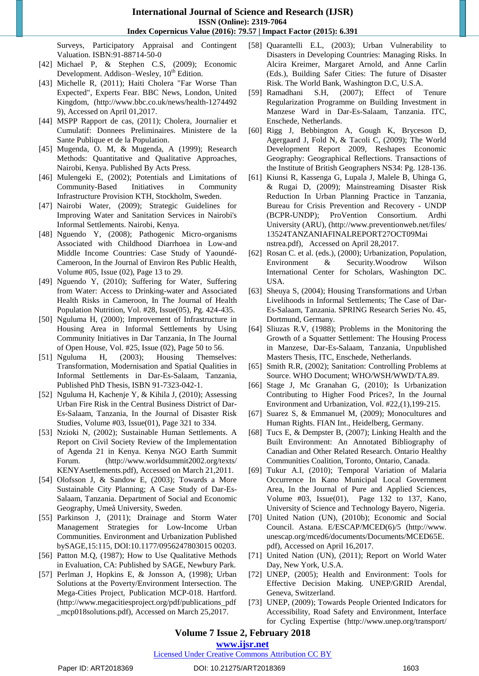Surveys, Participatory Appraisal and Contingent Valuation. ISBN:91-88714-50-0

- [42] [Michael P, &](http://dictionary.sensagent.com/Michael_Todaro/en-en/) Stephen C.S, (2009); Economic Development. Addison–Wesley, 10<sup>th</sup> Edition.
- [43] Michelle R, (2011); Haiti Cholera "Far Worse Than Expected", Experts Fear. BBC News, London, United Kingdom, [\(http://www.bbc.co.uk/news/health-1274492](http://www.bbc.co.uk/news/health-12744929) [9\), A](http://www.bbc.co.uk/news/health-12744929)ccessed on April 01,2017.
- [44] [MSPP Rapport de cas, \(2011\); Cholera, Journalier et](http://mspp.gouv.ht/site/index.php?option=com_content&view=article&id=57&Itemid=1)  [Cumulatif: Donnees Preliminaires. Ministere](http://mspp.gouv.ht/site/index.php?option=com_content&view=article&id=57&Itemid=1) [de la](http://mspp.gouv.ht/site/index.php?option=com_content&view=article&id=57&Itemid=1)  [Sante Publique et de la Population.](http://mspp.gouv.ht/site/index.php?option=com_content&view=article&id=57&Itemid=1)
- [45] Mugenda, O. M, & Mugenda, A (1999); Research Methods: Quantitative and Qualitative Approaches, Nairobi, Kenya. Published By Acts Press.
- [46] Mulengeki E, (2002); Potentials and Limitations of Community-Based Initiatives in Community Infrastructure Provision KTH, Stockholm, Sweden.
- [47] Nairobi Water, (2009); Strategic Guidelines for Improving Water and Sanitation Services in Nairobi's Informal Settlements. Nairobi, Kenya.
- [48] Nguendo Y, (2008); Pathogenic Micro-organisms Associated with Childhood Diarrhoea in Low-and Middle Income Countries: Case Study of Yaoundé-Cameroon, In the Journal of Environ Res Public Health, Volume #05, Issue (02), Page 13 to 29.
- [49] Nguendo Y, (2010); Suffering for Water, Suffering from Water: Access to Drinking-water and Associated Health Risks in Cameroon, In The Journal of Health Population Nutrition, Vol. #28, Issue(05), Pg. 424-435.
- [50] Nguluma H, (2000); Improvement of Infrastructure in Housing Area in Informal Settlements by Using Community Initiatives in Dar Tanzania, In The Journal of Open House, Vol. #25, Issue (02), Page 50 to 56.
- [51] Nguluma H, (2003); Housing Themselves: Transformation, Modernisation and Spatial Qualities in Informal Settlements in Dar-Es-Salaam, Tanzania, Published PhD Thesis, ISBN 91-7323-042-1.
- [52] Nguluma H, Kachenje Y, & Kihila J, (2010); Assessing Urban Fire Risk in the Central Business District of Dar-Es-Salaam, Tanzania, In the Journal of Disaster Risk Studies, Volume #03, Issue(01), Page 321 to 334.
- [53] Nzioki N, (2002); Sustainable Human Settlements. A Report on Civil Society Review of the Implementation of Agenda 21 in Kenya. Kenya NGO Earth Summit Forum. [\(http://www.worldsummit2002.org/texts/](http://www.worldsummit2002.org/texts/KENYAsettlements.pdf) [KENYAsettlements.pdf\), A](http://www.worldsummit2002.org/texts/KENYAsettlements.pdf)ccessed on March 21,2011.
- [54] Olofsson J, & Sandow E, (2003); Towards a More Sustainable City Planning; A Case Study of Dar-Es-Salaam, Tanzania. Department of Social and Economic Geography, Umeå University, Sweden.
- [55] Parkinson J, (2011); Drainage and Storm Water Management Strategies for Low-Income Urban Communities. Environment and Urbanization Published bySAGE,15:115, DOI:10.1177/0956247803015 00203.
- [56] Patton M.Q, (1987); How to Use Qualitative Methods in Evaluation, CA: Published by SAGE, Newbury Park.
- [57] Perlman J, Hopkins E, & Jonsson A, (1998); Urban Solutions at the Poverty/Environment Intersection. The Mega-Cities Project, Publication MCP-018. Hartford. [\(http://www.megacitiesproject.org/pdf/publications\\_pdf](http://www.megacitiesproject.org/pdf/publications_pdf_mcp018solutions.pdf) [\\_mcp018solutions.pdf\), A](http://www.megacitiesproject.org/pdf/publications_pdf_mcp018solutions.pdf)ccessed on March 25,2017.
- [58] Quarantelli E.L, (2003); Urban Vulnerability to Disasters in Developing Countries: Managing Risks. In Alcira Kreimer, Margaret Arnold, and Anne Carlin (Eds.), Building Safer Cities: The future of Disaster Risk. The World Bank, Washington D.C, U.S.A.
- [59] Ramadhani S.H, (2007); Effect of Tenure Regularization Programme on Building Investment in Manzese Ward in Dar-Es-Salaam, Tanzania. ITC, Enschede, Netherlands.
- [60] Rigg J, Bebbington A, Gough K, Bryceson D, Agergaard J, Fold N, & Tacoli C, (2009); The World Development Report 2009, Reshapes Economic Geography: Geographical Reflections. Transactions of the Institute of British Geographers NS34: Pg. 128-136.
- [61] Kiunsi R, Kassenga G, Lupala J, Malele B, Uhinga G, & Rugai D, (2009); Mainstreaming Disaster Risk Reduction In Urban Planning Practice in Tanzania, [Bureau for Crisis Prevention](http://www.preventionweb.net/english/professional/contacts/v.php?id=2724) [and Recovery -](http://www.preventionweb.net/english/professional/contacts/v.php?id=2724) UNDP [\(BCPR-UNDP\); ProVention Consortium. A](http://www.preventionweb.net/english/professional/contacts/v.php?id=2724)rdhi University (ARU), [\(http://www.preventionweb.net/files/](http://www.preventionweb.net/files/13524_TANZANIAFINALREPORT27OCT09Mainstrea.pdf)  [13524TANZANIAFINALREPORT27OCT09Mai](http://www.preventionweb.net/files/13524_TANZANIAFINALREPORT27OCT09Mainstrea.pdf) [nstrea.pdf\), A](http://www.preventionweb.net/files/13524_TANZANIAFINALREPORT27OCT09Mainstrea.pdf)ccessed on April 28,2017.
- [62] Rosan C. et al. (eds.), (2000); Urbanization, Population, Environment & Security.Woodrow Wilson International Center for Scholars, Washington DC. USA.
- [63] Sheuya S, (2004); Housing Transformations and Urban Livelihoods in Informal Settlements; The Case of Dar-Es-Salaam, Tanzania. SPRING Research Series No. 45, Dortmund, Germany.
- [64] Sliuzas R.V, (1988); Problems in the Monitoring the Growth of a Squatter Settlement: The Housing Process in Manzese, Dar-Es-Salaam, Tanzania, Unpublished Masters Thesis, ITC, Enschede, Netherlands.
- [65] Smith R.R, (2002); Sanitation: Controlling Problems at Source. WHO Document; WHO/WSH/WWD/TA.89.
- [66] Stage J, Mc Granahan G, (2010); Is Urbanization Contributing to Higher Food Prices?, In the Journal Environment and Urbanization, Vol. #22,(1),199-215.
- [67] Suarez S, & Emmanuel M, (2009); Monocultures and Human Rights. FIAN Int., Heidelberg, Germany.
- [68] Tucs E, & Dempster B, (2007); Linking Health and the Built Environment: An Annotated Bibliography of Canadian and Other Related Research. Ontario Healthy Communities Coalition, Toronto, Ontario, Canada.
- [69] Tukur A.I, (2010); Temporal Variation of Malaria Occurrence In Kano Municipal Local Government Area, In the Journal of Pure and Applied Sciences, Volume #03, Issue(01), Page 132 to 137, Kano, University of Science and Technology Bayero, Nigeria.
- [70] United Nation (UN), (2010b); Economic and Social [Council. Astana. E/ESCAP/MCED\(6\)/5](http://www.cdc.gov/healthywater/global/) [\(http://www.](http://www.unescap.org/mced6/documents/Documents/MCED6_5E.pdf) [unescap.org/mced6/documents/Documents/MCED65E.](http://www.unescap.org/mced6/documents/Documents/MCED6_5E.pdf) [pdf\), A](http://www.unescap.org/mced6/documents/Documents/MCED6_5E.pdf)ccessed on April 16,2017.
- [71] United Nation (UN), (2011); Report on World Water Day, New York, U.S.A.
- [72] UNEP, (2005); Health and Environment: Tools for Effective Decision Making. UNEP/GRID Arendal, Geneva, Switzerland.
- [73] UNEP, (2009); Towards People Oriented Indicators for Accessibility, Road Safety and Environment, Interface for Cycling Expertise [\(http://www.unep.org/transport/](http://www.unep.org/transport/sharetheroad/PDF/ICE_Report.pdf)

#### **Volume 7 Issue 2, February 2018**

# **[www.ijsr.net](../../IJSR%20Website/www.ijsr.net)**